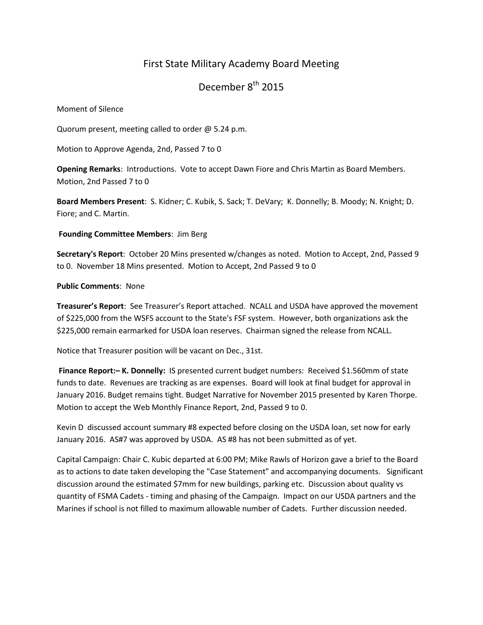# First State Military Academy Board Meeting

December 8<sup>th</sup> 2015

Moment of Silence

Quorum present, meeting called to order @ 5.24 p.m.

Motion to Approve Agenda, 2nd, Passed 7 to 0

**Opening Remarks**: Introductions. Vote to accept Dawn Fiore and Chris Martin as Board Members. Motion, 2nd Passed 7 to 0

**Board Members Present**: S. Kidner; C. Kubik, S. Sack; T. DeVary; K. Donnelly; B. Moody; N. Knight; D. Fiore; and C. Martin.

**Founding Committee Members**: Jim Berg

**Secretary's Report**: October 20 Mins presented w/changes as noted. Motion to Accept, 2nd, Passed 9 to 0. November 18 Mins presented. Motion to Accept, 2nd Passed 9 to 0

## **Public Comments**: None

**Treasurer's Report**: See Treasurer's Report attached. NCALL and USDA have approved the movement of \$225,000 from the WSFS account to the State's FSF system. However, both organizations ask the \$225,000 remain earmarked for USDA loan reserves. Chairman signed the release from NCALL.

Notice that Treasurer position will be vacant on Dec., 31st.

**Finance Report:– K. Donnelly:** IS presented current budget numbers: Received \$1.560mm of state funds to date. Revenues are tracking as are expenses. Board will look at final budget for approval in January 2016. Budget remains tight. Budget Narrative for November 2015 presented by Karen Thorpe. Motion to accept the Web Monthly Finance Report, 2nd, Passed 9 to 0.

Kevin D discussed account summary #8 expected before closing on the USDA loan, set now for early January 2016. AS#7 was approved by USDA. AS #8 has not been submitted as of yet.

Capital Campaign: Chair C. Kubic departed at 6:00 PM; Mike Rawls of Horizon gave a brief to the Board as to actions to date taken developing the "Case Statement" and accompanying documents. Significant discussion around the estimated \$7mm for new buildings, parking etc. Discussion about quality vs quantity of FSMA Cadets - timing and phasing of the Campaign. Impact on our USDA partners and the Marines if school is not filled to maximum allowable number of Cadets. Further discussion needed.